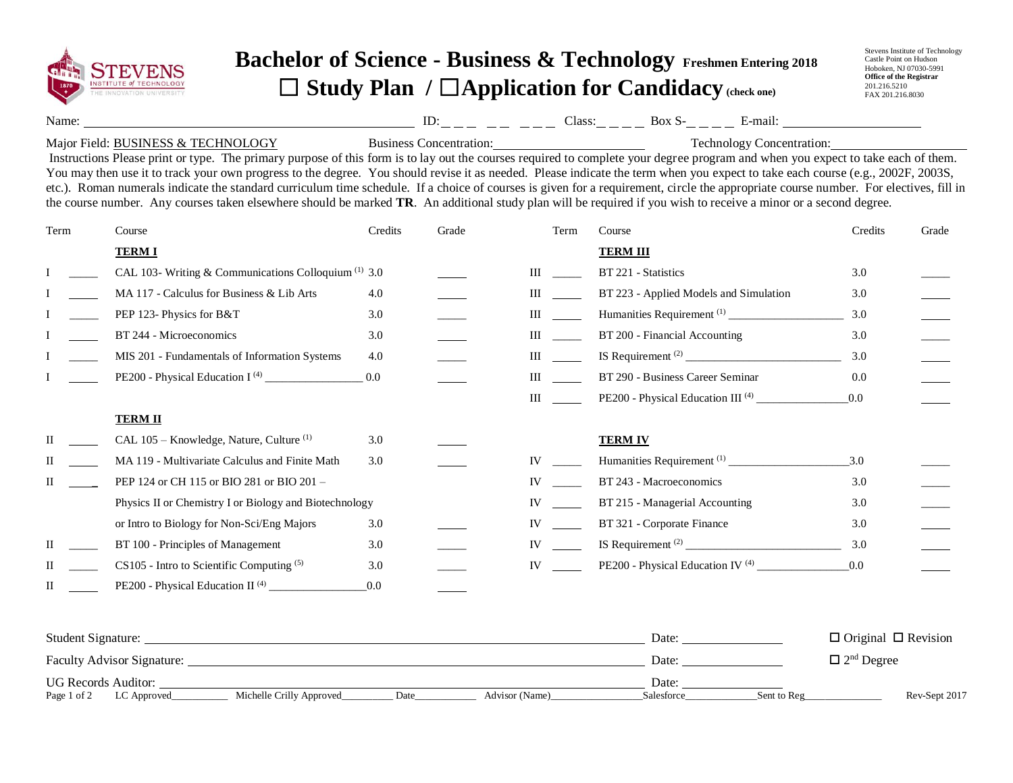

## **Bachelor of Science - Business & Technology Freshmen Entering 2018** ☐ **Study Plan /** ☐**Application for Candidacy (check one)**

Stevens Institute of Technology Castle Point on Hudson Hoboken, NJ 07030-5991 **Office of the Registrar** 201.216.5210 FAX 201.216.8030

Name: Class: Box S- E-mail: ID:

## Major Field: BUSINESS & TECHNOLOGY

Business Concentration: Technology Concentration:

Instructions Please print or type. The primary purpose of this form is to lay out the courses required to complete your degree program and when you expect to take each of them. You may then use it to track your own progress to the degree. You should revise it as needed. Please indicate the term when you expect to take each course (e.g., 2002F, 2003S, etc.). Roman numerals indicate the standard curriculum time schedule. If a choice of courses is given for a requirement, circle the appropriate course number. For electives, fill in the course number. Any courses taken elsewhere should be marked **TR**. An additional study plan will be required if you wish to receive a minor or a second degree.

| Term | Course                                                          | Credits | Grade | Term      | Course                                        | Credits | Grade |
|------|-----------------------------------------------------------------|---------|-------|-----------|-----------------------------------------------|---------|-------|
|      | <b>TERMI</b>                                                    |         |       |           | <b>TERM III</b>                               |         |       |
|      | CAL 103- Writing & Communications Colloquium <sup>(1)</sup> 3.0 |         |       | Ш         | BT 221 - Statistics                           | 3.0     |       |
|      | MA 117 - Calculus for Business & Lib Arts                       | 4.0     |       | Ш         | BT 223 - Applied Models and Simulation        | 3.0     |       |
|      | PEP 123- Physics for B&T                                        | 3.0     |       | Ш         |                                               | 3.0     |       |
|      | BT 244 - Microeconomics                                         | 3.0     |       | Ш         | BT 200 - Financial Accounting                 | 3.0     |       |
|      | MIS 201 - Fundamentals of Information Systems                   | 4.0     |       | Ш         |                                               | 3.0     |       |
|      |                                                                 | 0.0     |       | Ш         | BT 290 - Business Career Seminar              | 0.0     |       |
|      |                                                                 |         |       | Ш         | PE200 - Physical Education III <sup>(4)</sup> | 0.0     |       |
|      | <b>TERM II</b>                                                  |         |       |           |                                               |         |       |
|      | CAL 105 - Knowledge, Nature, Culture <sup>(1)</sup>             | 3.0     |       |           | <b>TERM IV</b>                                |         |       |
|      | MA 119 - Multivariate Calculus and Finite Math                  | 3.0     |       | IV        |                                               | 3.0     |       |
| П    | PEP 124 or CH 115 or BIO 281 or BIO 201 -                       |         |       | IV        | BT 243 - Macroeconomics                       | 3.0     |       |
|      | Physics II or Chemistry I or Biology and Biotechnology          |         |       | IV        | BT 215 - Managerial Accounting                | 3.0     |       |
|      | or Intro to Biology for Non-Sci/Eng Majors                      | 3.0     |       | IV        | BT 321 - Corporate Finance                    | 3.0     |       |
| Н    | BT 100 - Principles of Management                               | 3.0     |       | <b>IV</b> |                                               | 3.0     |       |
|      | CS105 - Intro to Scientific Computing (5)                       | 3.0     |       | IV        | PE200 - Physical Education IV <sup>(4)</sup>  | 0.0     |       |
| П    | PE200 - Physical Education II <sup>(4)</sup>                    | 0.0     |       |           |                                               |         |       |

| <b>Student Signature:</b>         |                          |      |                | Date:      |             | $\Box$ Original $\Box$ Revision |
|-----------------------------------|--------------------------|------|----------------|------------|-------------|---------------------------------|
| <b>Faculty Advisor Signature:</b> |                          |      |                | Date:      |             | $\Box$ 2 <sup>nd</sup> Degree   |
| <b>UG Records Auditor:</b>        |                          |      |                | Date:      |             |                                 |
| Page 1 of 2<br>LC Approved        | Michelle Crilly Approved | Date | Advisor (Name) | Salesforce | Sent to Reg | Rev-Sept 2017                   |